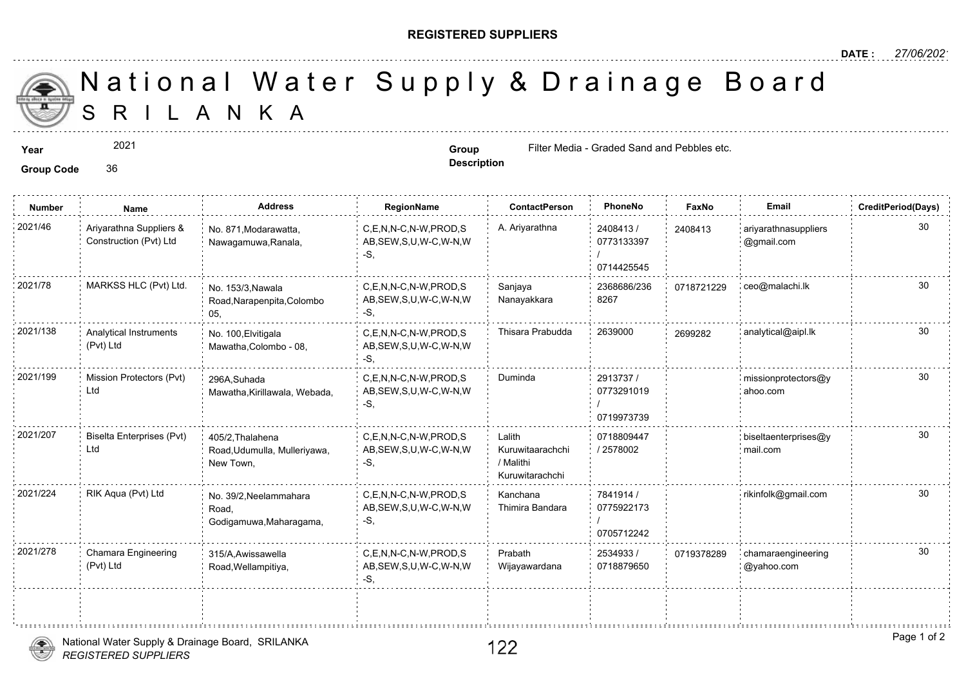## **REGISTERED SUPPLIERS**

**Description**

A N K A National Water Supply & Drainage

**Year Group Group Group Group Group Group Group Group Group Group Group Group Group Group Group Group Group Group Group Group Group Group Group Group Group Group Group** 

## **Group Code** 36

2021

**Number Name Address RegionName ContactPerson PhoneNo FaxNo Email CreditPeriod(Days)** 2408413/ 0773133397 / 0714425545 C,E,N,N-C,N-W,PROD,S A. Ariyarathna 2021/46 ariyarathnasuppliers AB,SEW,S,U,W-C,W-N,W -S, No. 871,Modarawatta, Nawagamuwa,Ranala, Ariyarathna Suppliers & Construction (Pvt) Ltd 24084<sup></sup> 2368686/236 07187 8267 Sanjaya Nanayakkara 2021/78 MARKSS HLC (Pvt) Ltd. No. 153/3,Nawala C,E,N,N-C,N-W,PROD,S Sanjaya 2368686/236 071872 AB,SEW,S,U,W-C,W-N,W -S, No. 153/3,Nawala Road,Narapenpita,Colombo 05, 2021/138 Analytical Instruments No. 100,Elvitigala C,E,N,N-C,N-W,PROD,S Thisara Prabudda 2639000 <sub>269928</sub> AB,SEW,S,U,W-C,W-N,W -S, No. 100,Elvitigala Mawatha,Colombo - 08, Analytical Instruments (Pvt) Ltd 2913737 / 30 0773291019 / 0719973739 2021/199 Mission Protectors (Pvt) 296A Suhada CC,E,N,N-C,N-W,PROD,S Duminda 2913737 / 2017 AB,SEW,S,U,W-C,W-N,W -S, 296A,Suhada Mawatha,Kirillawala, Webada, Mission Protectors (Pvt) Ltd 0718809447 / 2578002 Lalith Kuruwitaarachchi / Malithi Kuruwitarachchi 2021/207 Biselta Enterprises (Pvt) 405/2,Thalahena C,E,N,N-C,N-W,PROD,S Lalith 0718809447 AB,SEW,S,U,W-C,W-N,W  $-S$ 405/2,Thalahena Road,Udumulla, Mulleriyawa, New Town, Biselta Enterprises (Pvt) Ltd 7841914 / 0775922173 / 0705712242 Kanchana Thimira Bandara 2021/224 RIK Aqua (Pvt) Ltd <sub>No. 39/2,Neelammahara</sub> C,E,N,N-C,N-W,PROD,S Kanchana 7841914 / AB,SEW,S,U,W-C,W-N,W -S, No. 39/2,Neelammahara Road, Godigamuwa,Maharagama, 2534933 / 30 0718879650 Prabath Wijayawardana 2021/278 Chamara Engineering 315/A,Awissawella C,E,N,N-C,N-W,PROD,S Prabath 2534933 (071937 AB,SEW,S,U,W-C,W-N,W -S, 315/A,Awissawella Road,Wellampitiya, Chamara Engineering (Pvt) Ltd 07193